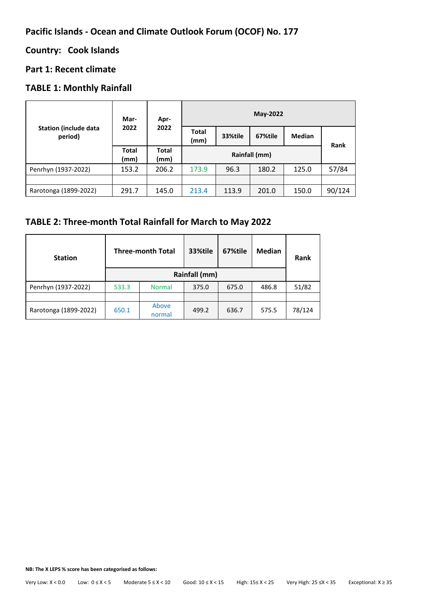# **Pacific Islands - Ocean and Climate Outlook Forum (OCOF) No. 177**

# **Country: Cook Islands**

# **Part 1: Recent climate**

# **TABLE 1: Monthly Rainfall**

| <b>Station (include data</b><br>period) | Mar-<br>2022         | Apr-<br>2022         | May-2022             |         |         |               |        |
|-----------------------------------------|----------------------|----------------------|----------------------|---------|---------|---------------|--------|
|                                         |                      |                      | <b>Total</b><br>(mm) | 33%tile | 67%tile | <b>Median</b> | Rank   |
|                                         | <b>Total</b><br>(mm) | <b>Total</b><br>(mm) | Rainfall (mm)        |         |         |               |        |
| Penrhyn (1937-2022)                     | 153.2                | 206.2                | 173.9                | 96.3    | 180.2   | 125.0         | 57/84  |
|                                         |                      |                      |                      |         |         |               |        |
| Rarotonga (1899-2022)                   | 291.7                | 145.0                | 213.4                | 113.9   | 201.0   | 150.0         | 90/124 |

# **TABLE 2: Three-month Total Rainfall for March to May 2022**

| <b>Station</b>        | <b>Three-month Total</b> |                 | 33%tile | 67%tile | <b>Median</b> | Rank   |  |
|-----------------------|--------------------------|-----------------|---------|---------|---------------|--------|--|
|                       |                          |                 |         |         |               |        |  |
| Penrhyn (1937-2022)   | 533.3                    | <b>Normal</b>   | 375.0   | 675.0   | 486.8         | 51/82  |  |
|                       |                          |                 |         |         |               |        |  |
| Rarotonga (1899-2022) | 650.1                    | Above<br>normal | 499.2   | 636.7   | 575.5         | 78/124 |  |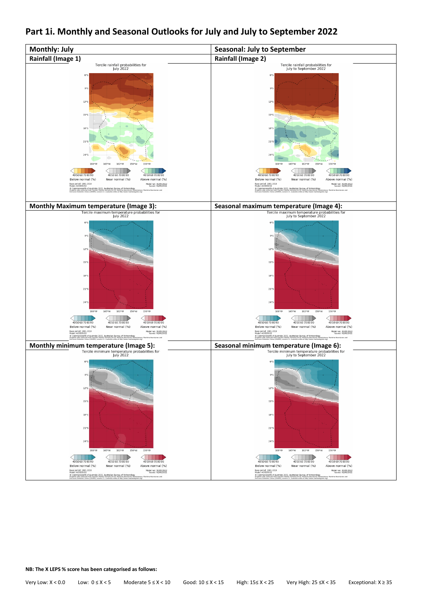

### **Part 1i. Monthly and Seasonal Outlooks for July and July to September 2022**

**NB: The X LEPS % score has been categorised as follows:**

Very Low: X < 0.0 Low: 0 ≤ X < 5 Moderate 5 ≤ X < 10 Good: 10 ≤ X < 15 High: 15≤ X < 25 Very High: 25 ≤X < 35 Exceptional: X ≥ 35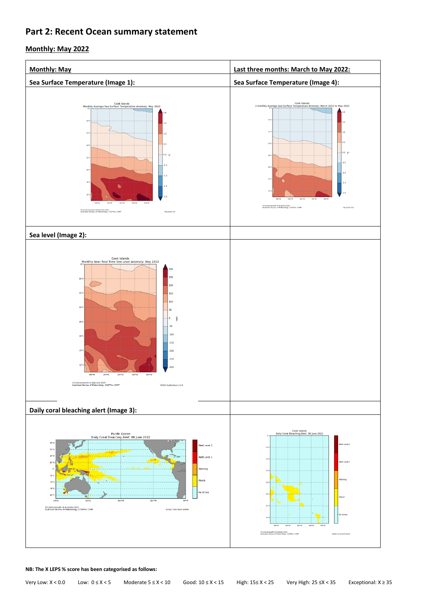# **Part 2: Recent Ocean summary statement**

### **Monthly: May 2022**

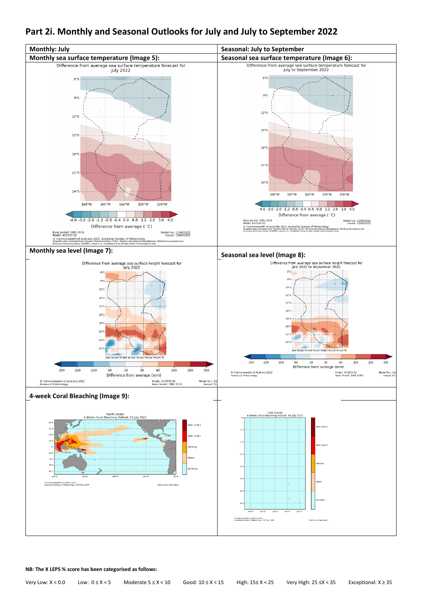# **Part 2i. Monthly and Seasonal Outlooks for July and July to September 2022**

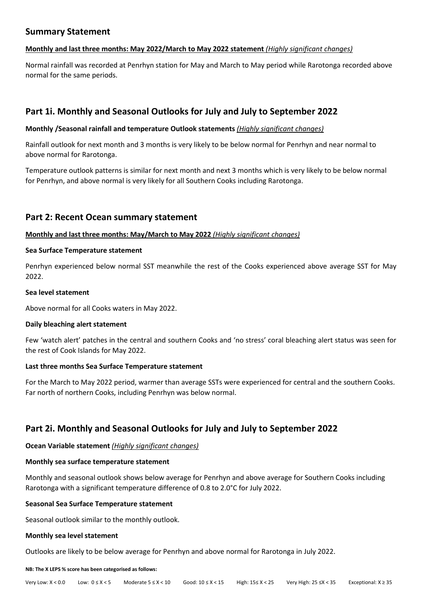### **Summary Statement**

### **Monthly and last three months: May 2022/March to May 2022 statement** *(Highly significant changes)*

Normal rainfall was recorded at Penrhyn station for May and March to May period while Rarotonga recorded above normal for the same periods.

# **Part 1i. Monthly and Seasonal Outlooks for July and July to September 2022**

### **Monthly /Seasonal rainfall and temperature Outlook statements** *(Highly significant changes)*

Rainfall outlook for next month and 3 months is very likely to be below normal for Penrhyn and near normal to above normal for Rarotonga.

Temperature outlook patterns is similar for next month and next 3 months which is very likely to be below normal for Penrhyn, and above normal is very likely for all Southern Cooks including Rarotonga.

### **Part 2: Recent Ocean summary statement**

### **Monthly and last three months: May/March to May 2022** *(Highly significant changes)*

### **Sea Surface Temperature statement**

Penrhyn experienced below normal SST meanwhile the rest of the Cooks experienced above average SST for May 2022.

### **Sea level statement**

Above normal for all Cooks waters in May 2022.

### **Daily bleaching alert statement**

Few 'watch alert' patches in the central and southern Cooks and 'no stress' coral bleaching alert status was seen for the rest of Cook Islands for May 2022.

### **Last three months Sea Surface Temperature statement**

For the March to May 2022 period, warmer than average SSTs were experienced for central and the southern Cooks. Far north of northern Cooks, including Penrhyn was below normal.

### **Part 2i. Monthly and Seasonal Outlooks for July and July to September 2022**

**Ocean Variable statement** *(Highly significant changes)*

### **Monthly sea surface temperature statement**

Monthly and seasonal outlook shows below average for Penrhyn and above average for Southern Cooks including Rarotonga with a significant temperature difference of 0.8 to 2.0°C for July 2022.

### **Seasonal Sea Surface Temperature statement**

Seasonal outlook similar to the monthly outlook.

### **Monthly sea level statement**

Outlooks are likely to be below average for Penrhyn and above normal for Rarotonga in July 2022.